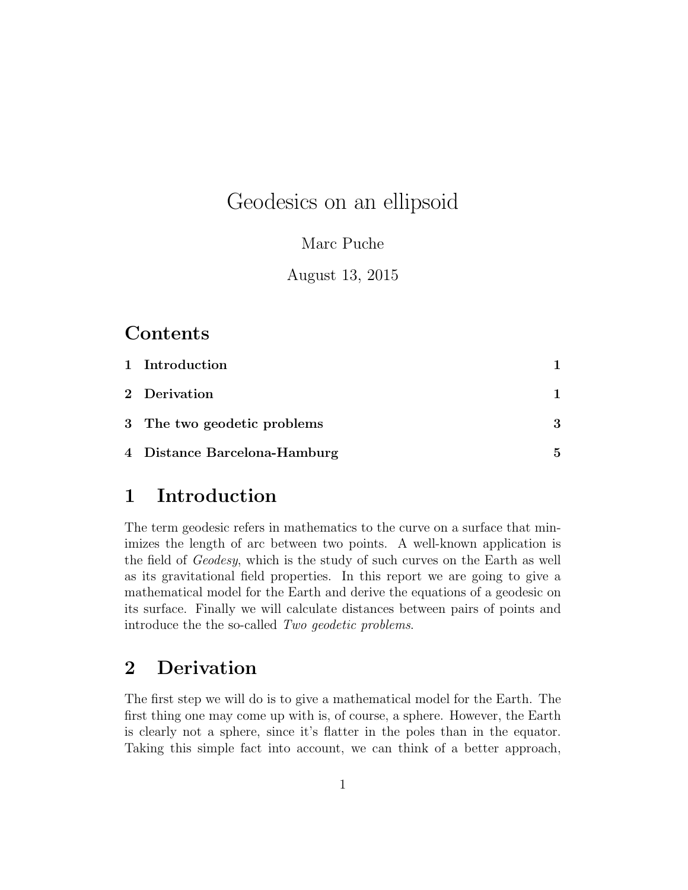# Geodesics on an ellipsoid

#### Marc Puche

August 13, 2015

### Contents

| 1 Introduction               |   |
|------------------------------|---|
| 2 Derivation                 |   |
| 3 The two geodetic problems  | 3 |
| 4 Distance Barcelona-Hamburg | 5 |

## <span id="page-0-0"></span>1 Introduction

The term geodesic refers in mathematics to the curve on a surface that minimizes the length of arc between two points. A well-known application is the field of *Geodesy*, which is the study of such curves on the Earth as well as its gravitational field properties. In this report we are going to give a mathematical model for the Earth and derive the equations of a geodesic on its surface. Finally we will calculate distances between pairs of points and introduce the the so-called *Two geodetic problems*.

## <span id="page-0-1"></span>2 Derivation

The first step we will do is to give a mathematical model for the Earth. The first thing one may come up with is, of course, a sphere. However, the Earth is clearly not a sphere, since it's flatter in the poles than in the equator. Taking this simple fact into account, we can think of a better approach,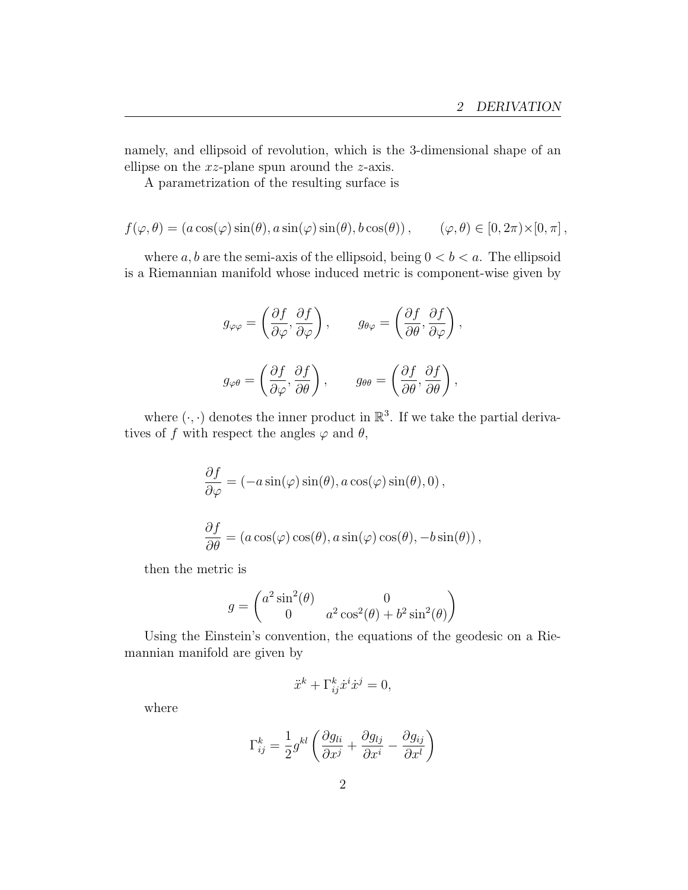namely, and ellipsoid of revolution, which is the 3-dimensional shape of an ellipse on the *xz*-plane spun around the *z*-axis.

A parametrization of the resulting surface is

$$
f(\varphi, \theta) = (a \cos(\varphi) \sin(\theta), a \sin(\varphi) \sin(\theta), b \cos(\theta)), \qquad (\varphi, \theta) \in [0, 2\pi) \times [0, \pi],
$$

where  $a, b$  are the semi-axis of the ellipsoid, being  $0 < b < a$ . The ellipsoid is a Riemannian manifold whose induced metric is component-wise given by

$$
g_{\varphi\varphi} = \left(\frac{\partial f}{\partial \varphi}, \frac{\partial f}{\partial \varphi}\right), \qquad g_{\theta\varphi} = \left(\frac{\partial f}{\partial \theta}, \frac{\partial f}{\partial \varphi}\right),
$$

$$
g_{\varphi\theta} = \left(\frac{\partial f}{\partial \varphi}, \frac{\partial f}{\partial \theta}\right), \qquad g_{\theta\theta} = \left(\frac{\partial f}{\partial \theta}, \frac{\partial f}{\partial \theta}\right),
$$

where  $(\cdot, \cdot)$  denotes the inner product in  $\mathbb{R}^3$ . If we take the partial derivatives of f with respect the angles  $\varphi$  and  $\theta$ ,

$$
\begin{aligned}\n\frac{\partial f}{\partial \varphi} &= (-a \sin(\varphi) \sin(\theta), a \cos(\varphi) \sin(\theta), 0), \\
\frac{\partial f}{\partial \theta} &= (a \cos(\varphi) \cos(\theta), a \sin(\varphi) \cos(\theta), -b \sin(\theta)),\n\end{aligned}
$$

then the metric is

$$
g = \begin{pmatrix} a^2 \sin^2(\theta) & 0\\ 0 & a^2 \cos^2(\theta) + b^2 \sin^2(\theta) \end{pmatrix}
$$

Using the Einstein's convention, the equations of the geodesic on a Riemannian manifold are given by

$$
\ddot{x}^k + \Gamma^k_{ij}\dot{x}^i \dot{x}^j = 0,
$$

where

$$
\Gamma_{ij}^k = \frac{1}{2} g^{kl} \left( \frac{\partial g_{li}}{\partial x^j} + \frac{\partial g_{lj}}{\partial x^i} - \frac{\partial g_{ij}}{\partial x^l} \right)
$$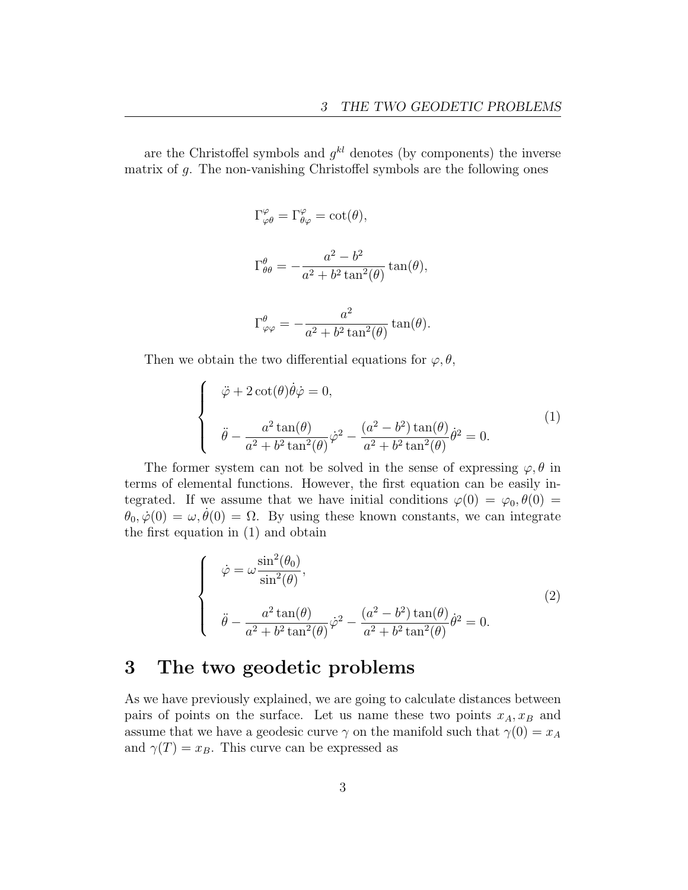are the Christoffel symbols and  $g^{kl}$  denotes (by components) the inverse matrix of  $q$ . The non-vanishing Christoffel symbols are the following ones

$$
\Gamma^{\varphi}_{\varphi\theta} = \Gamma^{\varphi}_{\theta\varphi} = \cot(\theta),
$$

$$
\Gamma^{\theta}_{\theta\theta} = -\frac{a^2 - b^2}{a^2 + b^2 \tan^2(\theta)} \tan(\theta),
$$

$$
\Gamma^{\theta}_{\varphi\varphi} = -\frac{a^2}{a^2 + b^2 \tan^2(\theta)} \tan(\theta).
$$

Then we obtain the two differential equations for  $\varphi, \theta$ ,

<span id="page-2-1"></span>
$$
\begin{cases}\n\ddot{\varphi} + 2 \cot(\theta) \dot{\theta} \dot{\varphi} = 0, \\
\ddot{\theta} - \frac{a^2 \tan(\theta)}{a^2 + b^2 \tan^2(\theta)} \dot{\varphi}^2 - \frac{(a^2 - b^2) \tan(\theta)}{a^2 + b^2 \tan^2(\theta)} \dot{\theta}^2 = 0.\n\end{cases}
$$
\n(1)

The former system can not be solved in the sense of expressing  $\varphi$ ,  $\theta$  in terms of elemental functions. However, the first equation can be easily integrated. If we assume that we have initial conditions  $\varphi(0) = \varphi_0, \theta(0) =$  $\hat{\theta}_0, \dot{\varphi}(0) = \omega, \dot{\theta}(0) = \Omega$ . By using these known constants, we can integrate the first equation in [\(1\)](#page-2-1) and obtain

$$
\begin{cases}\n\dot{\varphi} = \omega \frac{\sin^2(\theta_0)}{\sin^2(\theta)}, \\
\ddot{\theta} - \frac{a^2 \tan(\theta)}{a^2 + b^2 \tan^2(\theta)} \dot{\varphi}^2 - \frac{(a^2 - b^2) \tan(\theta)}{a^2 + b^2 \tan^2(\theta)} \dot{\theta}^2 = 0.\n\end{cases}
$$
\n(2)

#### <span id="page-2-0"></span>3 The two geodetic problems

As we have previously explained, we are going to calculate distances between pairs of points on the surface. Let us name these two points  $x_A, x_B$  and assume that we have a geodesic curve  $\gamma$  on the manifold such that  $\gamma(0) = x_A$ and  $\gamma(T) = x_B$ . This curve can be expressed as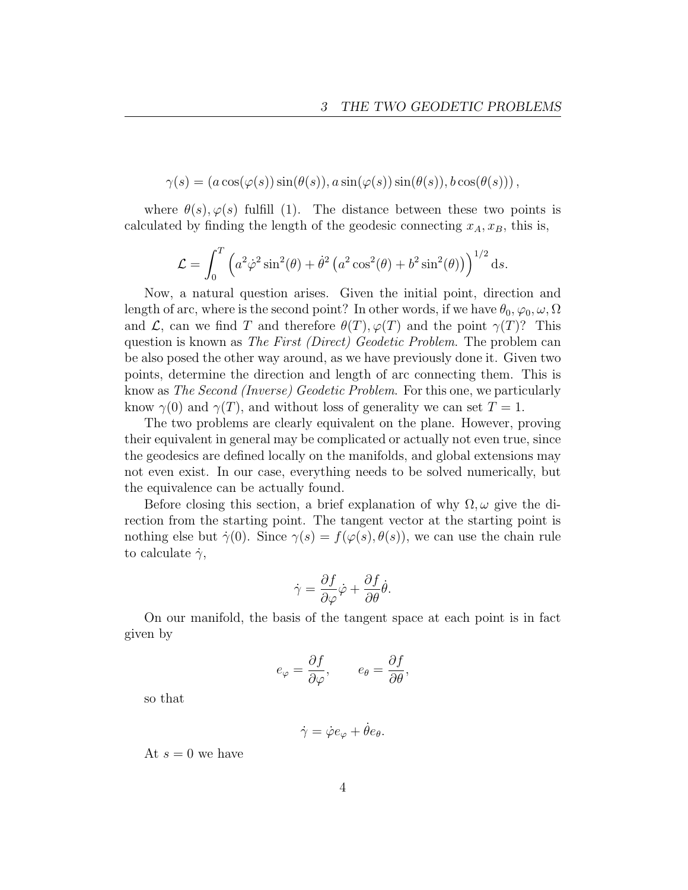$$
\gamma(s) = (a\cos(\varphi(s))\sin(\theta(s)), a\sin(\varphi(s))\sin(\theta(s)), b\cos(\theta(s)))
$$

where  $\theta(s), \varphi(s)$  fulfill [\(1\)](#page-2-1). The distance between these two points is calculated by finding the length of the geodesic connecting  $x_A, x_B$ , this is,

$$
\mathcal{L} = \int_0^T \left( a^2 \dot{\varphi}^2 \sin^2(\theta) + \dot{\theta}^2 \left( a^2 \cos^2(\theta) + b^2 \sin^2(\theta) \right) \right)^{1/2} ds.
$$

Now, a natural question arises. Given the initial point, direction and length of arc, where is the second point? In other words, if we have  $\theta_0, \varphi_0, \omega, \Omega$ and  $\mathcal{L}$ , can we find *T* and therefore  $\theta(T)$ ,  $\varphi(T)$  and the point  $\gamma(T)$ ? This question is known as *The First (Direct) Geodetic Problem*. The problem can be also posed the other way around, as we have previously done it. Given two points, determine the direction and length of arc connecting them. This is know as *The Second (Inverse) Geodetic Problem*. For this one, we particularly know  $\gamma(0)$  and  $\gamma(T)$ , and without loss of generality we can set  $T = 1$ .

The two problems are clearly equivalent on the plane. However, proving their equivalent in general may be complicated or actually not even true, since the geodesics are defined locally on the manifolds, and global extensions may not even exist. In our case, everything needs to be solved numerically, but the equivalence can be actually found.

Before closing this section, a brief explanation of why  $\Omega, \omega$  give the direction from the starting point. The tangent vector at the starting point is nothing else but  $\dot{\gamma}(0)$ . Since  $\gamma(s) = f(\varphi(s), \theta(s))$ , we can use the chain rule to calculate  $\dot{\gamma}$ ,

$$
\dot{\gamma} = \frac{\partial f}{\partial \varphi}\dot{\varphi} + \frac{\partial f}{\partial \theta}\dot{\theta}.
$$

On our manifold, the basis of the tangent space at each point is in fact given by

$$
e_{\varphi} = \frac{\partial f}{\partial \varphi}, \qquad e_{\theta} = \frac{\partial f}{\partial \theta},
$$

so that

$$
\dot{\gamma} = \dot{\varphi} e_{\varphi} + \dot{\theta} e_{\theta}.
$$

At  $s = 0$  we have